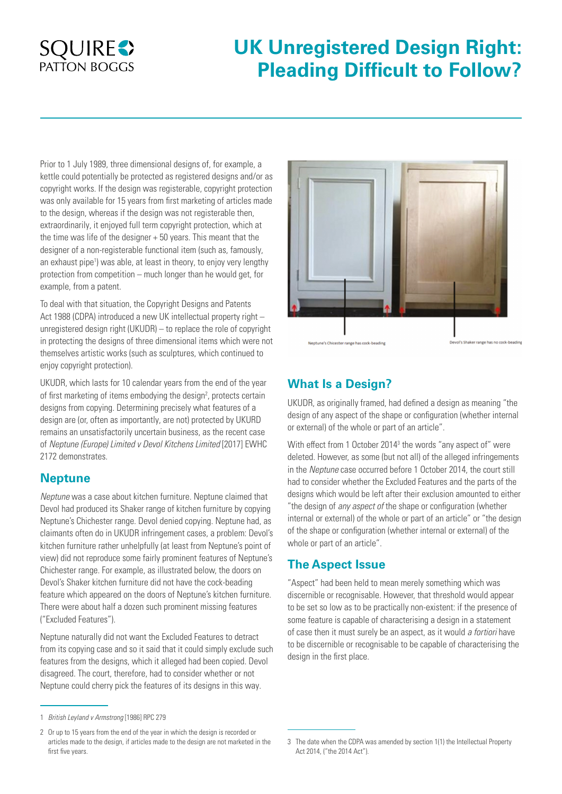# **SQUIRES PATTON BOGGS**

# **UK Unregistered Design Right: Pleading Difficult to Follow?**

Prior to 1 July 1989, three dimensional designs of, for example, a kettle could potentially be protected as registered designs and/or as copyright works. If the design was registerable, copyright protection was only available for 15 years from first marketing of articles made to the design, whereas if the design was not registerable then, extraordinarily, it enjoyed full term copyright protection, which at the time was life of the designer + 50 years. This meant that the designer of a non-registerable functional item (such as, famously, an exhaust pipe<sup>1</sup>) was able, at least in theory, to enjoy very lengthy protection from competition – much longer than he would get, for example, from a patent.

To deal with that situation, the Copyright Designs and Patents Act 1988 (CDPA) introduced a new UK intellectual property right – unregistered design right (UKUDR) – to replace the role of copyright in protecting the designs of three dimensional items which were not themselves artistic works (such as sculptures, which continued to enjoy copyright protection).

UKUDR, which lasts for 10 calendar years from the end of the year of first marketing of items embodying the design<sup>2</sup>, protects certain designs from copying. Determining precisely what features of a design are (or, often as importantly, are not) protected by UKURD remains an unsatisfactorily uncertain business, as the recent case of *Neptune (Europe) Limited v Devol Kitchens Limited* [2017] EWHC 2172 demonstrates.

#### **Neptune**

*Neptune* was a case about kitchen furniture. Neptune claimed that Devol had produced its Shaker range of kitchen furniture by copying Neptune's Chichester range. Devol denied copying. Neptune had, as claimants often do in UKUDR infringement cases, a problem: Devol's kitchen furniture rather unhelpfully (at least from Neptune's point of view) did not reproduce some fairly prominent features of Neptune's Chichester range. For example, as illustrated below, the doors on Devol's Shaker kitchen furniture did not have the cock-beading feature which appeared on the doors of Neptune's kitchen furniture. There were about half a dozen such prominent missing features ("Excluded Features").

Neptune naturally did not want the Excluded Features to detract from its copying case and so it said that it could simply exclude such features from the designs, which it alleged had been copied. Devol disagreed. The court, therefore, had to consider whether or not Neptune could cherry pick the features of its designs in this way.



Neptune's Chicester range has cock-beading

Devol's Shaker range has no cock-beading

## **What Is a Design?**

UKUDR, as originally framed, had defined a design as meaning "the design of any aspect of the shape or configuration (whether internal or external) of the whole or part of an article".

With effect from 1 October 2014<sup>3</sup> the words "any aspect of" were deleted. However, as some (but not all) of the alleged infringements in the *Neptune* case occurred before 1 October 2014, the court still had to consider whether the Excluded Features and the parts of the designs which would be left after their exclusion amounted to either "the design of *any aspect of* the shape or configuration (whether internal or external) of the whole or part of an article" or "the design of the shape or configuration (whether internal or external) of the whole or part of an article".

#### **The Aspect Issue**

"Aspect" had been held to mean merely something which was discernible or recognisable. However, that threshold would appear to be set so low as to be practically non-existent: if the presence of some feature is capable of characterising a design in a statement of case then it must surely be an aspect, as it would *a fortiori* have to be discernible or recognisable to be capable of characterising the design in the first place.

<sup>1</sup> *British Leyland v Armstrong* [1986] RPC 279

<sup>2</sup> Or up to 15 years from the end of the year in which the design is recorded or articles made to the design, if articles made to the design are not marketed in the first five years.

<sup>3</sup> The date when the CDPA was amended by section 1(1) the Intellectual Property Act 2014, ("the 2014 Act").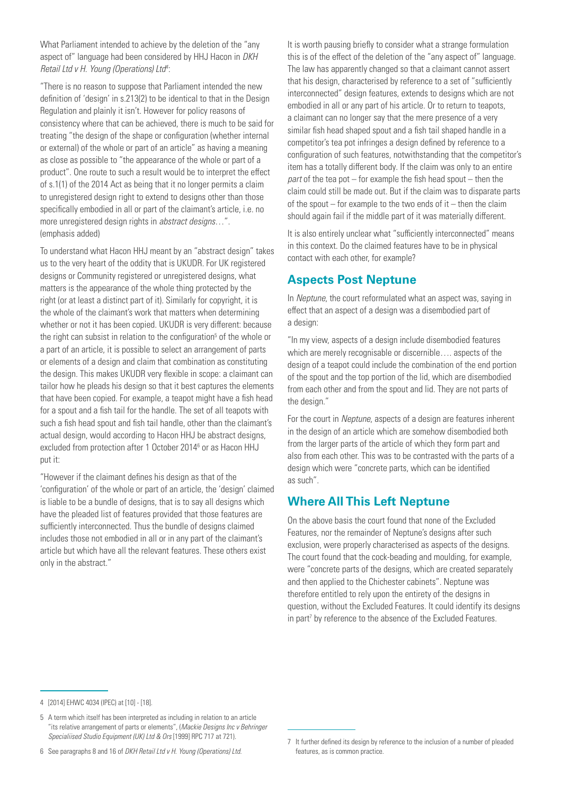What Parliament intended to achieve by the deletion of the "any aspect of" language had been considered by HHJ Hacon in *DKH Retail Ltd v H. Young (Operations) Ltd4* :

"There is no reason to suppose that Parliament intended the new definition of 'design' in s.213(2) to be identical to that in the Design Regulation and plainly it isn't. However for policy reasons of consistency where that can be achieved, there is much to be said for treating "the design of the shape or configuration (whether internal or external) of the whole or part of an article" as having a meaning as close as possible to "the appearance of the whole or part of a product". One route to such a result would be to interpret the effect of s.1(1) of the 2014 Act as being that it no longer permits a claim to unregistered design right to extend to designs other than those specifically embodied in all or part of the claimant's article, i.e. no more unregistered design rights in *abstract designs*…". (emphasis added)

To understand what Hacon HHJ meant by an "abstract design" takes us to the very heart of the oddity that is UKUDR. For UK registered designs or Community registered or unregistered designs, what matters is the appearance of the whole thing protected by the right (or at least a distinct part of it). Similarly for copyright, it is the whole of the claimant's work that matters when determining whether or not it has been copied. UKUDR is very different: because the right can subsist in relation to the configuration<sup>5</sup> of the whole or a part of an article, it is possible to select an arrangement of parts or elements of a design and claim that combination as constituting the design. This makes UKUDR very flexible in scope: a claimant can tailor how he pleads his design so that it best captures the elements that have been copied. For example, a teapot might have a fish head for a spout and a fish tail for the handle. The set of all teapots with such a fish head spout and fish tail handle, other than the claimant's actual design, would according to Hacon HHJ be abstract designs, excluded from protection after 1 October 2014<sup>6</sup> or as Hacon HHJ put it:

"However if the claimant defines his design as that of the 'configuration' of the whole or part of an article, the 'design' claimed is liable to be a bundle of designs, that is to say all designs which have the pleaded list of features provided that those features are sufficiently interconnected. Thus the bundle of designs claimed includes those not embodied in all or in any part of the claimant's article but which have all the relevant features. These others exist only in the abstract."

It is worth pausing briefly to consider what a strange formulation this is of the effect of the deletion of the "any aspect of" language. The law has apparently changed so that a claimant cannot assert that his design, characterised by reference to a set of "sufficiently interconnected" design features, extends to designs which are not embodied in all or any part of his article. Or to return to teapots, a claimant can no longer say that the mere presence of a very similar fish head shaped spout and a fish tail shaped handle in a competitor's tea pot infringes a design defined by reference to a configuration of such features, notwithstanding that the competitor's item has a totally different body. If the claim was only to an entire *part* of the tea pot – for example the fish head spout – then the claim could still be made out. But if the claim was to disparate parts of the spout  $-$  for example to the two ends of it  $-$  then the claim should again fail if the middle part of it was materially different.

It is also entirely unclear what "sufficiently interconnected" means in this context. Do the claimed features have to be in physical contact with each other, for example?

#### **Aspects Post Neptune**

In *Neptune*, the court reformulated what an aspect was, saying in effect that an aspect of a design was a disembodied part of a design:

"In my view, aspects of a design include disembodied features which are merely recognisable or discernible…. aspects of the design of a teapot could include the combination of the end portion of the spout and the top portion of the lid, which are disembodied from each other and from the spout and lid. They are not parts of the design."

For the court in *Neptune*, aspects of a design are features inherent in the design of an article which are somehow disembodied both from the larger parts of the article of which they form part and also from each other. This was to be contrasted with the parts of a design which were "concrete parts, which can be identified as such".

#### **Where All This Left Neptune**

On the above basis the court found that none of the Excluded Features, nor the remainder of Neptune's designs after such exclusion, were properly characterised as aspects of the designs. The court found that the cock-beading and moulding, for example, were "concrete parts of the designs, which are created separately and then applied to the Chichester cabinets". Neptune was therefore entitled to rely upon the entirety of the designs in question, without the Excluded Features. It could identify its designs in part<sup>7</sup> by reference to the absence of the Excluded Features.

<sup>4</sup> [2014] EHWC 4034 (IPEC) at [10] - [18].

<sup>5</sup> A term which itself has been interpreted as including in relation to an article "its relative arrangement of parts or elements", (*Mackie Designs Inc v Behringer Specialiised Studio Equipment (UK) Ltd & Ors* [1999] RPC 717 at 721).

<sup>7</sup> It further defined its design by reference to the inclusion of a number of pleaded features, as is common practice.

<sup>6</sup> See paragraphs 8 and 16 of *DKH Retail Ltd v H. Young (Operations) Ltd.*